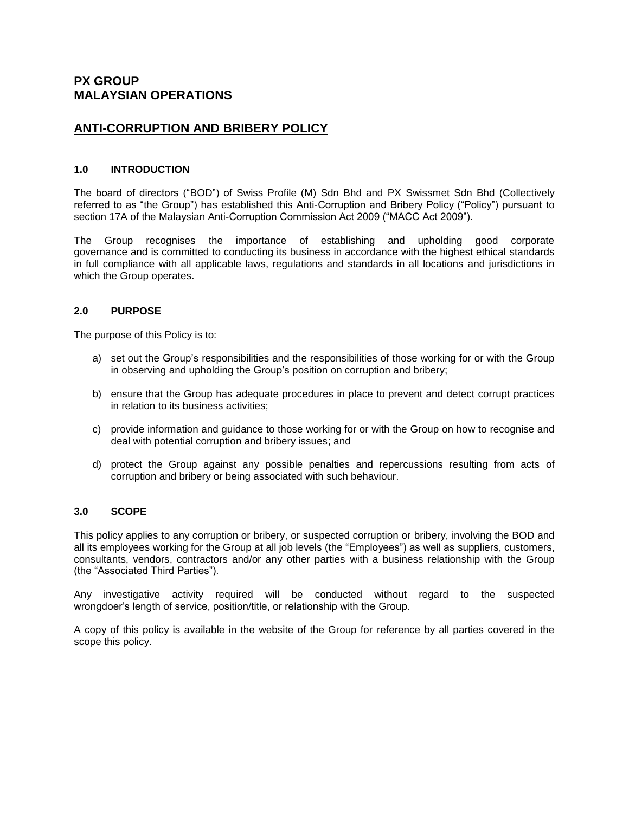# **PX GROUP MALAYSIAN OPERATIONS**

# **ANTI-CORRUPTION AND BRIBERY POLICY**

## **1.0 INTRODUCTION**

The board of directors ("BOD") of Swiss Profile (M) Sdn Bhd and PX Swissmet Sdn Bhd (Collectively referred to as "the Group") has established this Anti-Corruption and Bribery Policy ("Policy") pursuant to section 17A of the Malaysian Anti-Corruption Commission Act 2009 ("MACC Act 2009").

The Group recognises the importance of establishing and upholding good corporate governance and is committed to conducting its business in accordance with the highest ethical standards in full compliance with all applicable laws, regulations and standards in all locations and jurisdictions in which the Group operates.

## **2.0 PURPOSE**

The purpose of this Policy is to:

- a) set out the Group's responsibilities and the responsibilities of those working for or with the Group in observing and upholding the Group's position on corruption and bribery;
- b) ensure that the Group has adequate procedures in place to prevent and detect corrupt practices in relation to its business activities;
- c) provide information and guidance to those working for or with the Group on how to recognise and deal with potential corruption and bribery issues; and
- d) protect the Group against any possible penalties and repercussions resulting from acts of corruption and bribery or being associated with such behaviour.

#### **3.0 SCOPE**

This policy applies to any corruption or bribery, or suspected corruption or bribery, involving the BOD and all its employees working for the Group at all job levels (the "Employees") as well as suppliers, customers, consultants, vendors, contractors and/or any other parties with a business relationship with the Group (the "Associated Third Parties").

Any investigative activity required will be conducted without regard to the suspected wrongdoer's length of service, position/title, or relationship with the Group.

A copy of this policy is available in the website of the Group for reference by all parties covered in the scope this policy.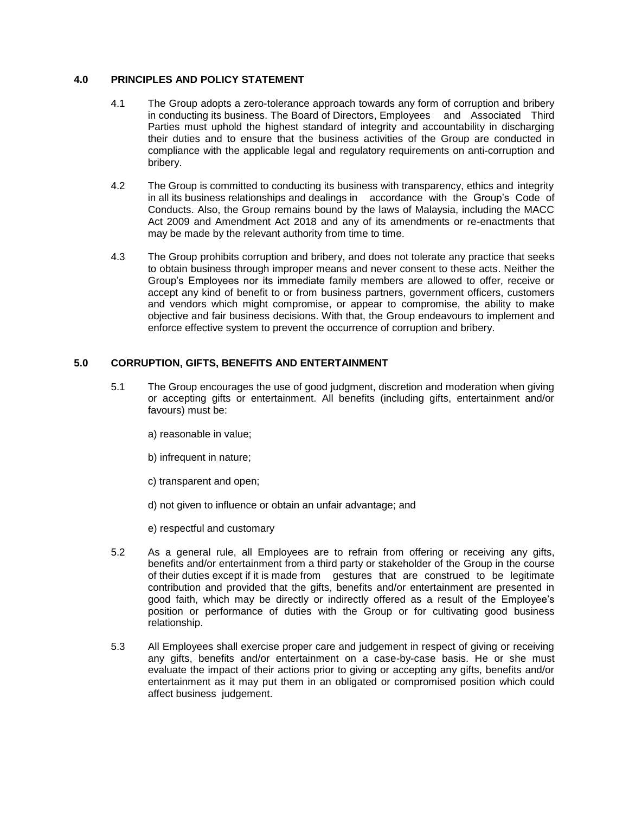## **4.0 PRINCIPLES AND POLICY STATEMENT**

- 4.1 The Group adopts a zero-tolerance approach towards any form of corruption and bribery in conducting its business. The Board of Directors, Employees and Associated Third Parties must uphold the highest standard of integrity and accountability in discharging their duties and to ensure that the business activities of the Group are conducted in compliance with the applicable legal and regulatory requirements on anti-corruption and bribery.
- 4.2 The Group is committed to conducting its business with transparency, ethics and integrity in all its business relationships and dealings in accordance with the Group's Code of Conducts. Also, the Group remains bound by the laws of Malaysia, including the MACC Act 2009 and Amendment Act 2018 and any of its amendments or re-enactments that may be made by the relevant authority from time to time.
- 4.3 The Group prohibits corruption and bribery, and does not tolerate any practice that seeks to obtain business through improper means and never consent to these acts. Neither the Group's Employees nor its immediate family members are allowed to offer, receive or accept any kind of benefit to or from business partners, government officers, customers and vendors which might compromise, or appear to compromise, the ability to make objective and fair business decisions. With that, the Group endeavours to implement and enforce effective system to prevent the occurrence of corruption and bribery.

## **5.0 CORRUPTION, GIFTS, BENEFITS AND ENTERTAINMENT**

- 5.1 The Group encourages the use of good judgment, discretion and moderation when giving or accepting gifts or entertainment. All benefits (including gifts, entertainment and/or favours) must be:
	- a) reasonable in value;
	- b) infrequent in nature;
	- c) transparent and open;
	- d) not given to influence or obtain an unfair advantage; and
	- e) respectful and customary
- 5.2 As a general rule, all Employees are to refrain from offering or receiving any gifts, benefits and/or entertainment from a third party or stakeholder of the Group in the course of their duties except if it is made from gestures that are construed to be legitimate contribution and provided that the gifts, benefits and/or entertainment are presented in good faith, which may be directly or indirectly offered as a result of the Employee's position or performance of duties with the Group or for cultivating good business relationship.
- 5.3 All Employees shall exercise proper care and judgement in respect of giving or receiving any gifts, benefits and/or entertainment on a case-by-case basis. He or she must evaluate the impact of their actions prior to giving or accepting any gifts, benefits and/or entertainment as it may put them in an obligated or compromised position which could affect business judgement.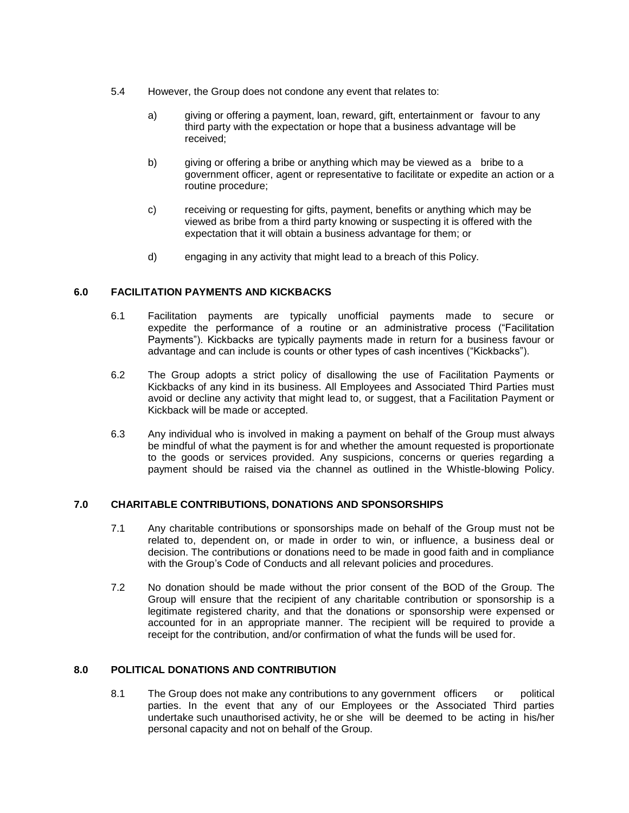- 5.4 However, the Group does not condone any event that relates to:
	- a) giving or offering a payment, loan, reward, gift, entertainment or favour to any third party with the expectation or hope that a business advantage will be received;
	- b) giving or offering a bribe or anything which may be viewed as a bribe to a government officer, agent or representative to facilitate or expedite an action or a routine procedure;
	- c) receiving or requesting for gifts, payment, benefits or anything which may be viewed as bribe from a third party knowing or suspecting it is offered with the expectation that it will obtain a business advantage for them; or
	- d) engaging in any activity that might lead to a breach of this Policy.

## **6.0 FACILITATION PAYMENTS AND KICKBACKS**

- 6.1 Facilitation payments are typically unofficial payments made to secure or expedite the performance of a routine or an administrative process ("Facilitation Payments"). Kickbacks are typically payments made in return for a business favour or advantage and can include is counts or other types of cash incentives ("Kickbacks").
- 6.2 The Group adopts a strict policy of disallowing the use of Facilitation Payments or Kickbacks of any kind in its business. All Employees and Associated Third Parties must avoid or decline any activity that might lead to, or suggest, that a Facilitation Payment or Kickback will be made or accepted.
- 6.3 Any individual who is involved in making a payment on behalf of the Group must always be mindful of what the payment is for and whether the amount requested is proportionate to the goods or services provided. Any suspicions, concerns or queries regarding a payment should be raised via the channel as outlined in the Whistle-blowing Policy.

#### **7.0 CHARITABLE CONTRIBUTIONS, DONATIONS AND SPONSORSHIPS**

- 7.1 Any charitable contributions or sponsorships made on behalf of the Group must not be related to, dependent on, or made in order to win, or influence, a business deal or decision. The contributions or donations need to be made in good faith and in compliance with the Group's Code of Conducts and all relevant policies and procedures.
- 7.2 No donation should be made without the prior consent of the BOD of the Group. The Group will ensure that the recipient of any charitable contribution or sponsorship is a legitimate registered charity, and that the donations or sponsorship were expensed or accounted for in an appropriate manner. The recipient will be required to provide a receipt for the contribution, and/or confirmation of what the funds will be used for.

## **8.0 POLITICAL DONATIONS AND CONTRIBUTION**

8.1 The Group does not make any contributions to any government officers or political parties. In the event that any of our Employees or the Associated Third parties undertake such unauthorised activity, he or she will be deemed to be acting in his/her personal capacity and not on behalf of the Group.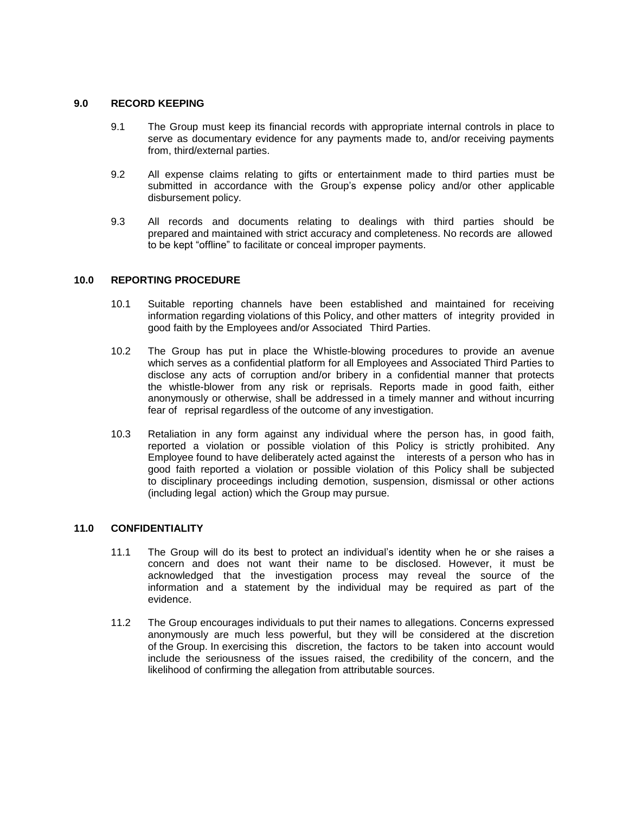#### **9.0 RECORD KEEPING**

- 9.1 The Group must keep its financial records with appropriate internal controls in place to serve as documentary evidence for any payments made to, and/or receiving payments from, third/external parties.
- 9.2 All expense claims relating to gifts or entertainment made to third parties must be submitted in accordance with the Group's expense policy and/or other applicable disbursement policy.
- 9.3 All records and documents relating to dealings with third parties should be prepared and maintained with strict accuracy and completeness. No records are allowed to be kept "offline" to facilitate or conceal improper payments.

#### **10.0 REPORTING PROCEDURE**

- 10.1 Suitable reporting channels have been established and maintained for receiving information regarding violations of this Policy, and other matters of integrity provided in good faith by the Employees and/or Associated Third Parties.
- 10.2 The Group has put in place the Whistle-blowing procedures to provide an avenue which serves as a confidential platform for all Employees and Associated Third Parties to disclose any acts of corruption and/or bribery in a confidential manner that protects the whistle-blower from any risk or reprisals. Reports made in good faith, either anonymously or otherwise, shall be addressed in a timely manner and without incurring fear of reprisal regardless of the outcome of any investigation.
- 10.3 Retaliation in any form against any individual where the person has, in good faith, reported a violation or possible violation of this Policy is strictly prohibited. Any Employee found to have deliberately acted against the interests of a person who has in good faith reported a violation or possible violation of this Policy shall be subjected to disciplinary proceedings including demotion, suspension, dismissal or other actions (including legal action) which the Group may pursue.

#### **11.0 CONFIDENTIALITY**

- 11.1 The Group will do its best to protect an individual's identity when he or she raises a concern and does not want their name to be disclosed. However, it must be acknowledged that the investigation process may reveal the source of the information and a statement by the individual may be required as part of the evidence.
- 11.2 The Group encourages individuals to put their names to allegations. Concerns expressed anonymously are much less powerful, but they will be considered at the discretion of the Group. In exercising this discretion, the factors to be taken into account would include the seriousness of the issues raised, the credibility of the concern, and the likelihood of confirming the allegation from attributable sources.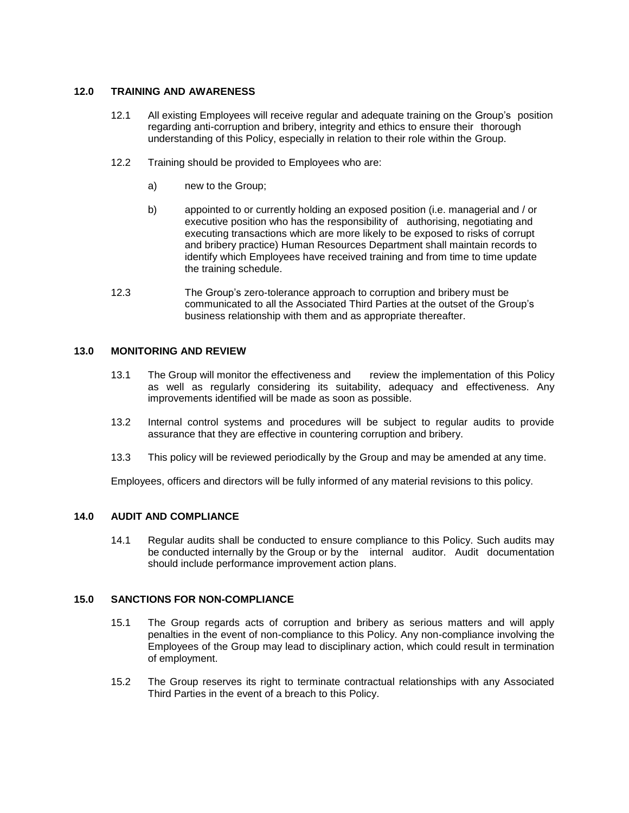### **12.0 TRAINING AND AWARENESS**

- 12.1 All existing Employees will receive regular and adequate training on the Group's position regarding anti-corruption and bribery, integrity and ethics to ensure their thorough understanding of this Policy, especially in relation to their role within the Group.
- 12.2 Training should be provided to Employees who are:
	- a) new to the Group;
	- b) appointed to or currently holding an exposed position (i.e. managerial and / or executive position who has the responsibility of authorising, negotiating and executing transactions which are more likely to be exposed to risks of corrupt and bribery practice) Human Resources Department shall maintain records to identify which Employees have received training and from time to time update the training schedule.
- 12.3 The Group's zero-tolerance approach to corruption and bribery must be communicated to all the Associated Third Parties at the outset of the Group's business relationship with them and as appropriate thereafter.

## **13.0 MONITORING AND REVIEW**

- 13.1 The Group will monitor the effectiveness and review the implementation of this Policy as well as regularly considering its suitability, adequacy and effectiveness. Any improvements identified will be made as soon as possible.
- 13.2 Internal control systems and procedures will be subject to regular audits to provide assurance that they are effective in countering corruption and bribery.
- 13.3 This policy will be reviewed periodically by the Group and may be amended at any time.

Employees, officers and directors will be fully informed of any material revisions to this policy.

## **14.0 AUDIT AND COMPLIANCE**

14.1 Regular audits shall be conducted to ensure compliance to this Policy. Such audits may be conducted internally by the Group or by the internal auditor. Audit documentation should include performance improvement action plans.

#### **15.0 SANCTIONS FOR NON-COMPLIANCE**

- 15.1 The Group regards acts of corruption and bribery as serious matters and will apply penalties in the event of non-compliance to this Policy. Any non-compliance involving the Employees of the Group may lead to disciplinary action, which could result in termination of employment.
- 15.2 The Group reserves its right to terminate contractual relationships with any Associated Third Parties in the event of a breach to this Policy.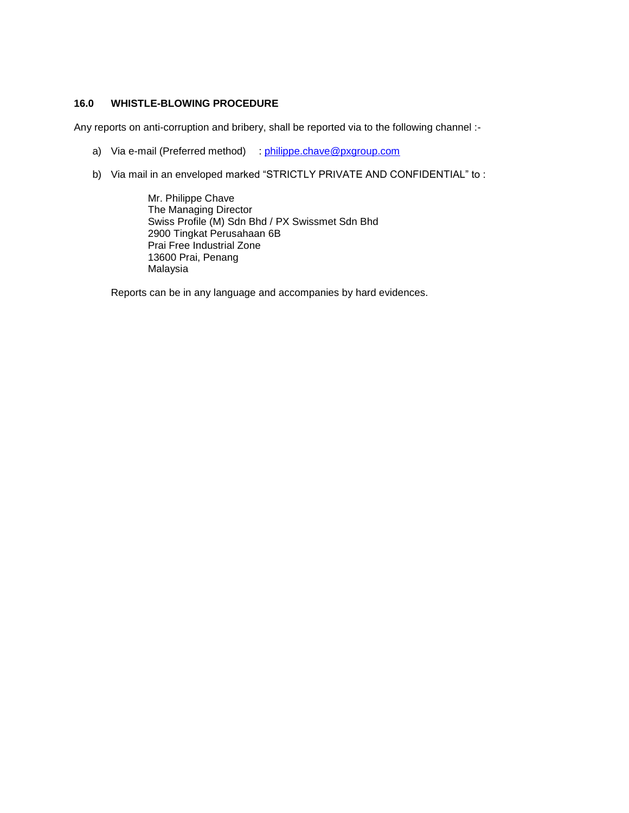## **16.0 WHISTLE-BLOWING PROCEDURE**

Any reports on anti-corruption and bribery, shall be reported via to the following channel :-

- a) Via e-mail (Preferred method) : [philippe.chave@pxgroup.com](mailto:philippe.chave@pxgroup.com)
- b) Via mail in an enveloped marked "STRICTLY PRIVATE AND CONFIDENTIAL" to :

Mr. Philippe Chave The Managing Director Swiss Profile (M) Sdn Bhd / PX Swissmet Sdn Bhd 2900 Tingkat Perusahaan 6B Prai Free Industrial Zone 13600 Prai, Penang Malaysia

Reports can be in any language and accompanies by hard evidences.